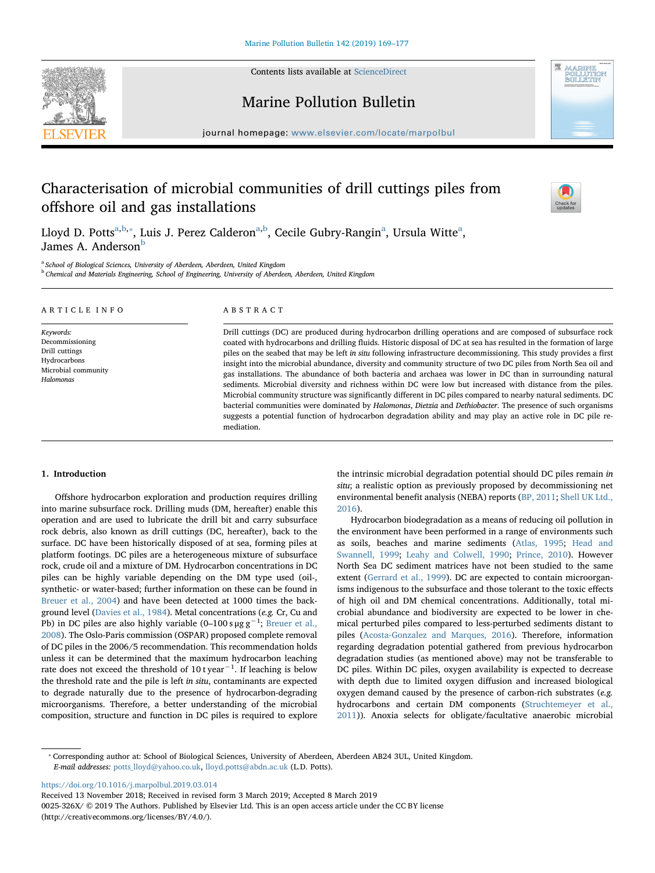

Contents lists available at [ScienceDirect](http://www.sciencedirect.com/science/journal/0025326X)

## Marine Pollution Bulletin

journal homepage: [www.elsevier.com/locate/marpolbul](https://www.elsevier.com/locate/marpolbul)

# Characterisation of microbial communities of drill cuttings piles from offshore oil and gas installations



Lloyd D. Potts<sup>a[,b,](#page-0-1)</sup>\*, Luis J. Perez Calderon<sup>[a,](#page-0-0)[b](#page-0-1)</sup>, Cecile Gubry-R[a](#page-0-0)ngin<sup>a</sup>, Ursula Witte<sup>a</sup>, James A. Anderson<sup>[b](#page-0-1)</sup>

mediation.

<span id="page-0-1"></span><span id="page-0-0"></span><sup>a</sup> School of Biological Sciences, University of Aberdeen, Aberdeen, United Kingdom <sup>b</sup> Chemical and Materials Engineering, School of Engineering, University of Aberdeen, Aberdeen, United Kingdom

| ARTICLE INFO                                                                                       | ABSTRACT                                                                                                                                                                                                                                                                                                                                                                                                                                                                                                                                                                                                                                                                                                                                                                                                                                                                                                                                                                                                                                              |
|----------------------------------------------------------------------------------------------------|-------------------------------------------------------------------------------------------------------------------------------------------------------------------------------------------------------------------------------------------------------------------------------------------------------------------------------------------------------------------------------------------------------------------------------------------------------------------------------------------------------------------------------------------------------------------------------------------------------------------------------------------------------------------------------------------------------------------------------------------------------------------------------------------------------------------------------------------------------------------------------------------------------------------------------------------------------------------------------------------------------------------------------------------------------|
| Keywords:<br>Decommissioning<br>Drill cuttings<br>Hydrocarbons<br>Microbial community<br>Halomonas | Drill cuttings (DC) are produced during hydrocarbon drilling operations and are composed of subsurface rock<br>coated with hydrocarbons and drilling fluids. Historic disposal of DC at sea has resulted in the formation of large<br>piles on the seabed that may be left in situ following infrastructure decommissioning. This study provides a first<br>insight into the microbial abundance, diversity and community structure of two DC piles from North Sea oil and<br>gas installations. The abundance of both bacteria and archaea was lower in DC than in surrounding natural<br>sediments. Microbial diversity and richness within DC were low but increased with distance from the piles.<br>Microbial community structure was significantly different in DC piles compared to nearby natural sediments. DC<br>bacterial communities were dominated by Halomonas, Dietzia and Dethiobacter. The presence of such organisms<br>suggests a potential function of hydrocarbon degradation ability and may play an active role in DC pile re- |

## 1. Introduction

Offshore hydrocarbon exploration and production requires drilling into marine subsurface rock. Drilling muds (DM, hereafter) enable this operation and are used to lubricate the drill bit and carry subsurface rock debris, also known as drill cuttings (DC, hereafter), back to the surface. DC have been historically disposed of at sea, forming piles at platform footings. DC piles are a heterogeneous mixture of subsurface rock, crude oil and a mixture of DM. Hydrocarbon concentrations in DC piles can be highly variable depending on the DM type used (oil-, synthetic- or water-based; further information on these can be found in [Breuer et al., 2004](#page-6-0)) and have been detected at 1000 times the background level ([Davies et al., 1984\)](#page-7-0). Metal concentrations (e.g. Cr, Cu and Pb) in DC piles are also highly variable (0–100 sµg g<sup>−1</sup>; [Breuer et al.,](#page-6-1) [2008\)](#page-6-1). The Oslo-Paris commission (OSPAR) proposed complete removal of DC piles in the 2006/5 recommendation. This recommendation holds unless it can be determined that the maximum hydrocarbon leaching rate does not exceed the threshold of 10 t year<sup>-1</sup>. If leaching is below the threshold rate and the pile is left in situ, contaminants are expected to degrade naturally due to the presence of hydrocarbon-degrading microorganisms. Therefore, a better understanding of the microbial composition, structure and function in DC piles is required to explore

the intrinsic microbial degradation potential should DC piles remain in situ; a realistic option as previously proposed by decommissioning net environmental benefit analysis (NEBA) reports [\(BP, 2011;](#page-6-2) [Shell UK Ltd.,](#page-7-1) [2016\)](#page-7-1).

Hydrocarbon biodegradation as a means of reducing oil pollution in the environment have been performed in a range of environments such as soils, beaches and marine sediments [\(Atlas, 1995;](#page-6-3) [Head and](#page-7-2) [Swannell, 1999](#page-7-2); [Leahy and Colwell, 1990](#page-7-3); [Prince, 2010\)](#page-7-4). However North Sea DC sediment matrices have not been studied to the same extent [\(Gerrard et al., 1999\)](#page-7-5). DC are expected to contain microorganisms indigenous to the subsurface and those tolerant to the toxic effects of high oil and DM chemical concentrations. Additionally, total microbial abundance and biodiversity are expected to be lower in chemical perturbed piles compared to less-perturbed sediments distant to piles [\(Acosta-Gonzalez and Marques, 2016](#page-6-4)). Therefore, information regarding degradation potential gathered from previous hydrocarbon degradation studies (as mentioned above) may not be transferable to DC piles. Within DC piles, oxygen availability is expected to decrease with depth due to limited oxygen diffusion and increased biological oxygen demand caused by the presence of carbon-rich substrates (e.g. hydrocarbons and certain DM components ([Struchtemeyer et al.,](#page-7-6) [2011\)](#page-7-6)). Anoxia selects for obligate/facultative anaerobic microbial

<https://doi.org/10.1016/j.marpolbul.2019.03.014>

Received 13 November 2018; Received in revised form 3 March 2019; Accepted 8 March 2019

0025-326X/ © 2019 The Authors. Published by Elsevier Ltd. This is an open access article under the CC BY license (http://creativecommons.org/licenses/BY/4.0/).

<span id="page-0-2"></span><sup>⁎</sup> Corresponding author at: School of Biological Sciences, University of Aberdeen, Aberdeen AB24 3UL, United Kingdom. E-mail addresses: [potts\\_lloyd@yahoo.co.uk,](mailto:potts_lloyd@yahoo.co.uk) [lloyd.potts@abdn.ac.uk](mailto:lloyd.potts@abdn.ac.uk) (L.D. Potts).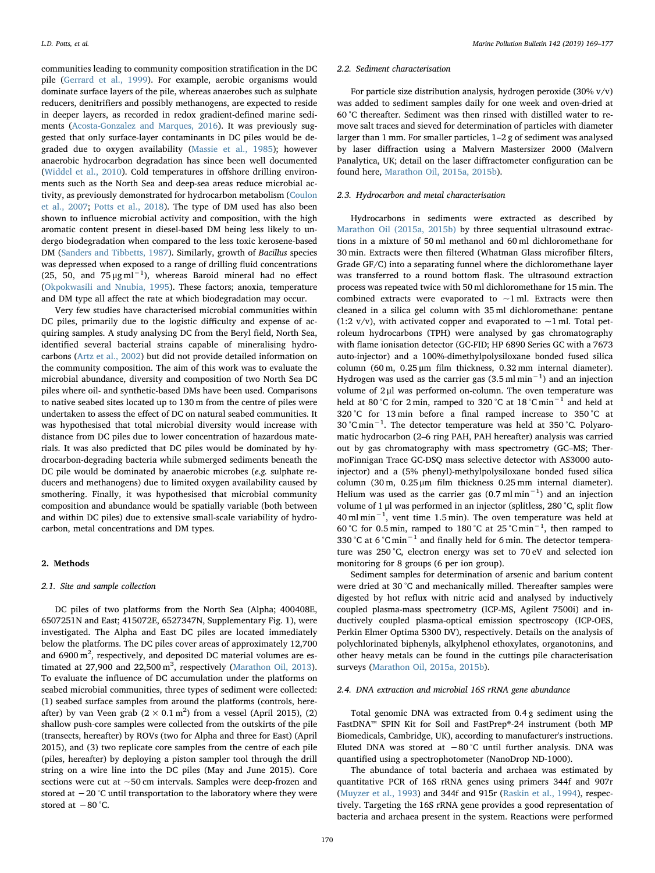communities leading to community composition stratification in the DC pile [\(Gerrard et al., 1999](#page-7-5)). For example, aerobic organisms would dominate surface layers of the pile, whereas anaerobes such as sulphate reducers, denitrifiers and possibly methanogens, are expected to reside in deeper layers, as recorded in redox gradient-defined marine sediments [\(Acosta-Gonzalez and Marques, 2016](#page-6-4)). It was previously suggested that only surface-layer contaminants in DC piles would be degraded due to oxygen availability [\(Massie et al., 1985](#page-7-7)); however anaerobic hydrocarbon degradation has since been well documented ([Widdel et al., 2010\)](#page-8-0). Cold temperatures in offshore drilling environments such as the North Sea and deep-sea areas reduce microbial activity, as previously demonstrated for hydrocarbon metabolism ([Coulon](#page-7-8) [et al., 2007;](#page-7-8) [Potts et al., 2018](#page-7-9)). The type of DM used has also been shown to influence microbial activity and composition, with the high aromatic content present in diesel-based DM being less likely to undergo biodegradation when compared to the less toxic kerosene-based DM ([Sanders and Tibbetts, 1987](#page-7-10)). Similarly, growth of Bacillus species was depressed when exposed to a range of drilling fluid concentrations (25, 50, and  $75 \mu g \text{ ml}^{-1}$ ), whereas Baroid mineral had no effect ([Okpokwasili and Nnubia, 1995](#page-7-11)). These factors; anoxia, temperature and DM type all affect the rate at which biodegradation may occur.

Very few studies have characterised microbial communities within DC piles, primarily due to the logistic difficulty and expense of acquiring samples. A study analysing DC from the Beryl field, North Sea, identified several bacterial strains capable of mineralising hydrocarbons [\(Artz et al., 2002](#page-6-5)) but did not provide detailed information on the community composition. The aim of this work was to evaluate the microbial abundance, diversity and composition of two North Sea DC piles where oil- and synthetic-based DMs have been used. Comparisons to native seabed sites located up to 130 m from the centre of piles were undertaken to assess the effect of DC on natural seabed communities. It was hypothesised that total microbial diversity would increase with distance from DC piles due to lower concentration of hazardous materials. It was also predicted that DC piles would be dominated by hydrocarbon-degrading bacteria while submerged sediments beneath the DC pile would be dominated by anaerobic microbes (e.g. sulphate reducers and methanogens) due to limited oxygen availability caused by smothering. Finally, it was hypothesised that microbial community composition and abundance would be spatially variable (both between and within DC piles) due to extensive small-scale variability of hydrocarbon, metal concentrations and DM types.

#### 2. Methods

#### 2.1. Site and sample collection

DC piles of two platforms from the North Sea (Alpha; 400408E, 6507251N and East; 415072E, 6527347N, Supplementary Fig. 1), were investigated. The Alpha and East DC piles are located immediately below the platforms. The DC piles cover areas of approximately 12,700 and 6900 m<sup>2</sup>, respectively, and deposited DC material volumes are estimated at  $27,900$  and  $22,500 \text{ m}^3$ , respectively ([Marathon Oil, 2013](#page-7-12)). To evaluate the influence of DC accumulation under the platforms on seabed microbial communities, three types of sediment were collected: (1) seabed surface samples from around the platforms (controls, hereafter) by van Veen grab  $(2 \times 0.1 \text{ m}^2)$  from a vessel (April 2015), (2) shallow push-core samples were collected from the outskirts of the pile (transects, hereafter) by ROVs (two for Alpha and three for East) (April 2015), and (3) two replicate core samples from the centre of each pile (piles, hereafter) by deploying a piston sampler tool through the drill string on a wire line into the DC piles (May and June 2015). Core sections were cut at ~50 cm intervals. Samples were deep-frozen and stored at −20 °C until transportation to the laboratory where they were stored at −80 °C.

#### 2.2. Sediment characterisation

For particle size distribution analysis, hydrogen peroxide (30% v/v) was added to sediment samples daily for one week and oven-dried at 60 °C thereafter. Sediment was then rinsed with distilled water to remove salt traces and sieved for determination of particles with diameter larger than 1 mm. For smaller particles, 1–2 g of sediment was analysed by laser diffraction using a Malvern Mastersizer 2000 (Malvern Panalytica, UK; detail on the laser diffractometer configuration can be found here, [Marathon Oil, 2015a, 2015b\)](#page-7-13).

## 2.3. Hydrocarbon and metal characterisation

Hydrocarbons in sediments were extracted as described by [Marathon Oil \(2015a, 2015b\)](#page-7-13) by three sequential ultrasound extractions in a mixture of 50 ml methanol and 60 ml dichloromethane for 30 min. Extracts were then filtered (Whatman Glass microfiber filters, Grade GF/C) into a separating funnel where the dichloromethane layer was transferred to a round bottom flask. The ultrasound extraction process was repeated twice with 50 ml dichloromethane for 15 min. The combined extracts were evaporated to  $\sim$ 1 ml. Extracts were then cleaned in a silica gel column with 35 ml dichloromethane: pentane (1:2 v/v), with activated copper and evaporated to  $\sim$ 1 ml. Total petroleum hydrocarbons (TPH) were analysed by gas chromatography with flame ionisation detector (GC-FID; HP 6890 Series GC with a 7673 auto-injector) and a 100%-dimethylpolysiloxane bonded fused silica column (60 m, 0.25 μm film thickness, 0.32 mm internal diameter). Hydrogen was used as the carrier gas  $(3.5 \text{ ml min}^{-1})$  and an injection volume of 2 μl was performed on-column. The oven temperature was held at 80 °C for 2 min, ramped to 320 °C at 18 °C min−<sup>1</sup> and held at 320 °C for 13 min before a final ramped increase to 350 °C at 30 °C min−<sup>1</sup> . The detector temperature was held at 350 °C. Polyaromatic hydrocarbon (2–6 ring PAH, PAH hereafter) analysis was carried out by gas chromatography with mass spectrometry (GC–MS; ThermoFinnigan Trace GC-DSQ mass selective detector with AS3000 autoinjector) and a (5% phenyl)-methylpolysiloxane bonded fused silica column (30 m, 0.25 μm film thickness 0.25 mm internal diameter). Helium was used as the carrier gas  $(0.7 \text{ ml min}^{-1})$  and an injection volume of 1 μl was performed in an injector (splitless, 280 °C, split flow 40 ml min−<sup>1</sup> , vent time 1.5 min). The oven temperature was held at 60 °C for 0.5 min, ramped to 180 °C at 25 °C min−<sup>1</sup> , then ramped to 330 °C at 6 °C min−<sup>1</sup> and finally held for 6 min. The detector temperature was 250 °C, electron energy was set to 70 eV and selected ion monitoring for 8 groups (6 per ion group).

Sediment samples for determination of arsenic and barium content were dried at 30 °C and mechanically milled. Thereafter samples were digested by hot reflux with nitric acid and analysed by inductively coupled plasma-mass spectrometry (ICP-MS, Agilent 7500i) and inductively coupled plasma-optical emission spectroscopy (ICP-OES, Perkin Elmer Optima 5300 DV), respectively. Details on the analysis of polychlorinated biphenyls, alkylphenol ethoxylates, organotonins, and other heavy metals can be found in the cuttings pile characterisation surveys ([Marathon Oil, 2015a, 2015b](#page-7-13)).

## 2.4. DNA extraction and microbial 16S rRNA gene abundance

Total genomic DNA was extracted from 0.4 g sediment using the FastDNA™ SPIN Kit for Soil and FastPrep®-24 instrument (both MP Biomedicals, Cambridge, UK), according to manufacturer's instructions. Eluted DNA was stored at −80 °C until further analysis. DNA was quantified using a spectrophotometer (NanoDrop ND-1000).

The abundance of total bacteria and archaea was estimated by quantitative PCR of 16S rRNA genes using primers 344f and 907r ([Muyzer et al., 1993\)](#page-7-14) and 344f and 915r ([Raskin et al., 1994\)](#page-7-15), respectively. Targeting the 16S rRNA gene provides a good representation of bacteria and archaea present in the system. Reactions were performed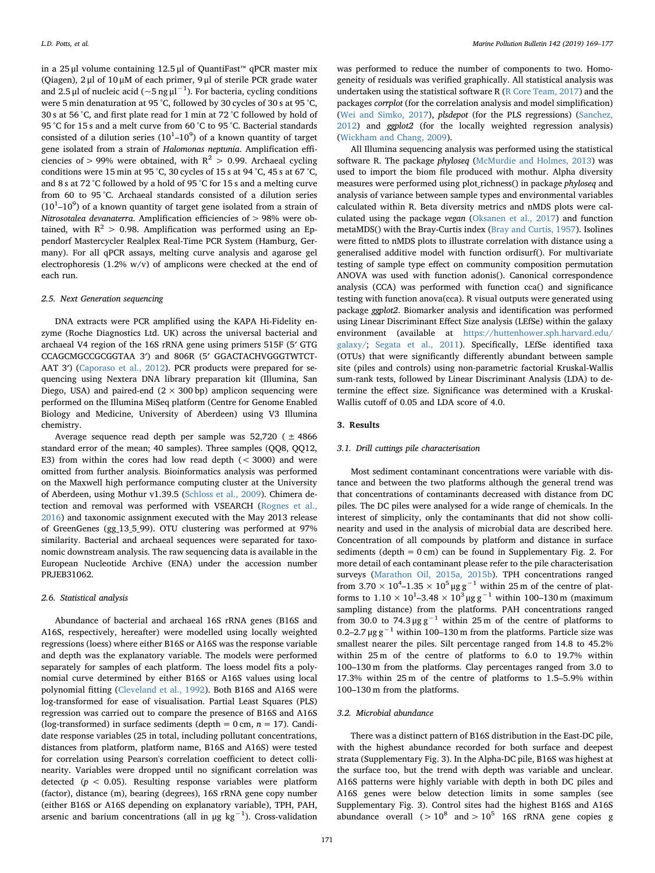in a 25 μl volume containing 12.5 μl of QuantiFast™ qPCR master mix (Qiagen), 2 μl of 10 μM of each primer, 9 μl of sterile PCR grade water and 2.5 µl of nucleic acid ( $\sim$ 5 ng  $\mu$ l $^{-1}$ ). For bacteria, cycling conditions were 5 min denaturation at 95 °C, followed by 30 cycles of 30 s at 95 °C, 30 s at 56 °C, and first plate read for 1 min at 72 °C followed by hold of 95 °C for 15 s and a melt curve from 60 °C to 95 °C. Bacterial standards consisted of a dilution series  $(10^1 - 10^9)$  of a known quantity of target gene isolated from a strain of Halomonas neptunia. Amplification efficiencies of > 99% were obtained, with  $R^2 > 0.99$ . Archaeal cycling conditions were 15 min at 95 °C, 30 cycles of 15 s at 94 °C, 45 s at 67 °C, and 8 s at 72 °C followed by a hold of 95 °C for 15 s and a melting curve from 60 to 95 °C. Archaeal standards consisted of a dilution series  $(10^{1}-10^{9})$  of a known quantity of target gene isolated from a strain of Nitrosotalea devanaterra. Amplification efficiencies of > 98% were obtained, with  $R^2 > 0.98$ . Amplification was performed using an Eppendorf Mastercycler Realplex Real-Time PCR System (Hamburg, Germany). For all qPCR assays, melting curve analysis and agarose gel electrophoresis (1.2% w/v) of amplicons were checked at the end of each run.

#### 2.5. Next Generation sequencing

DNA extracts were PCR amplified using the KAPA Hi-Fidelity enzyme (Roche Diagnostics Ltd. UK) across the universal bacterial and archaeal V4 region of the 16S rRNA gene using primers 515F (5′ GTG CCAGCMGCCGCGGTAA 3′) and 806R (5′ GGACTACHVGGGTWTCT-AAT 3') [\(Caporaso et al., 2012](#page-6-6)). PCR products were prepared for sequencing using Nextera DNA library preparation kit (Illumina, San Diego, USA) and paired-end  $(2 \times 300 \text{ bp})$  amplicon sequencing were performed on the Illumina MiSeq platform (Centre for Genome Enabled Biology and Medicine, University of Aberdeen) using V3 Illumina chemistry.

Average sequence read depth per sample was  $52,720$  ( $\pm 4866$ standard error of the mean; 40 samples). Three samples (QQ8, QQ12, E3) from within the cores had low read depth (< 3000) and were omitted from further analysis. Bioinformatics analysis was performed on the Maxwell high performance computing cluster at the University of Aberdeen, using Mothur v1.39.5 [\(Schloss et al., 2009](#page-7-16)). Chimera detection and removal was performed with VSEARCH ([Rognes et al.,](#page-7-17) [2016\)](#page-7-17) and taxonomic assignment executed with the May 2013 release of GreenGenes (gg\_13\_5\_99). OTU clustering was performed at 97% similarity. Bacterial and archaeal sequences were separated for taxonomic downstream analysis. The raw sequencing data is available in the European Nucleotide Archive (ENA) under the accession number PRJEB31062.

#### 2.6. Statistical analysis

Abundance of bacterial and archaeal 16S rRNA genes (B16S and A16S, respectively, hereafter) were modelled using locally weighted regressions (loess) where either B16S or A16S was the response variable and depth was the explanatory variable. The models were performed separately for samples of each platform. The loess model fits a polynomial curve determined by either B16S or A16S values using local polynomial fitting ([Cleveland et al., 1992](#page-6-7)). Both B16S and A16S were log-transformed for ease of visualisation. Partial Least Squares (PLS) regression was carried out to compare the presence of B16S and A16S (log-transformed) in surface sediments (depth =  $0$  cm,  $n = 17$ ). Candidate response variables (25 in total, including pollutant concentrations, distances from platform, platform name, B16S and A16S) were tested for correlation using Pearson's correlation coefficient to detect collinearity. Variables were dropped until no significant correlation was detected ( $p < 0.05$ ). Resulting response variables were platform (factor), distance (m), bearing (degrees), 16S rRNA gene copy number (either B16S or A16S depending on explanatory variable), TPH, PAH, arsenic and barium concentrations (all in  $\mu$ g kg $^{-1}$ ). Cross-validation

was performed to reduce the number of components to two. Homogeneity of residuals was verified graphically. All statistical analysis was undertaken using the statistical software R ([R Core Team, 2017\)](#page-7-18) and the packages corrplot (for the correlation analysis and model simplification) ([Wei and Simko, 2017\)](#page-7-19), plsdepot (for the PLS regressions) ([Sanchez,](#page-7-20) [2012\)](#page-7-20) and ggplot2 (for the locally weighted regression analysis) ([Wickham and Chang, 2009](#page-8-1)).

All Illumina sequencing analysis was performed using the statistical software R. The package phyloseq [\(McMurdie and Holmes, 2013](#page-7-21)) was used to import the biom file produced with mothur. Alpha diversity measures were performed using plot\_richness() in package phyloseq and analysis of variance between sample types and environmental variables calculated within R. Beta diversity metrics and nMDS plots were calculated using the package vegan ([Oksanen et al., 2017\)](#page-7-22) and function metaMDS() with the Bray-Curtis index ([Bray and Curtis, 1957\)](#page-6-8). Isolines were fitted to nMDS plots to illustrate correlation with distance using a generalised additive model with function ordisurf(). For multivariate testing of sample type effect on community composition permutation ANOVA was used with function adonis(). Canonical correspondence analysis (CCA) was performed with function cca() and significance testing with function anova(cca). R visual outputs were generated using package ggplot2. Biomarker analysis and identification was performed using Linear Discriminant Effect Size analysis (LEfSe) within the galaxy environment (available at [https://huttenhower.sph.harvard.edu/](https://huttenhower.sph.harvard.edu/galaxy/;) [galaxy/](https://huttenhower.sph.harvard.edu/galaxy/;); [Segata et al., 2011\)](#page-7-23). Specifically, LEfSe identified taxa (OTUs) that were significantly differently abundant between sample site (piles and controls) using non-parametric factorial Kruskal-Wallis sum-rank tests, followed by Linear Discriminant Analysis (LDA) to determine the effect size. Significance was determined with a Kruskal-Wallis cutoff of 0.05 and LDA score of 4.0.

## 3. Results

## 3.1. Drill cuttings pile characterisation

Most sediment contaminant concentrations were variable with distance and between the two platforms although the general trend was that concentrations of contaminants decreased with distance from DC piles. The DC piles were analysed for a wide range of chemicals. In the interest of simplicity, only the contaminants that did not show collinearity and used in the analysis of microbial data are described here. Concentration of all compounds by platform and distance in surface sediments (depth  $= 0$  cm) can be found in Supplementary Fig. 2. For more detail of each contaminant please refer to the pile characterisation surveys [\(Marathon Oil, 2015a, 2015b\)](#page-7-13). TPH concentrations ranged from  $3.70 \times 10^4$ -1.35 ×  $10^5$  µg g<sup>-1</sup> within 25 m of the centre of platforms to  $1.10 \times 10^{1}$ –3.48 ×  $10^{3}$  µg g<sup>-1</sup> within 100–130 m (maximum sampling distance) from the platforms. PAH concentrations ranged from 30.0 to 74.3  $\mu$ g g<sup>-1</sup> within 25 m of the centre of platforms to 0.2–2.7 μg  $g^{-1}$  within 100–130 m from the platforms. Particle size was smallest nearer the piles. Silt percentage ranged from 14.8 to 45.2% within 25 m of the centre of platforms to 6.0 to 19.7% within 100–130 m from the platforms. Clay percentages ranged from 3.0 to 17.3% within 25 m of the centre of platforms to 1.5–5.9% within 100–130 m from the platforms.

## 3.2. Microbial abundance

There was a distinct pattern of B16S distribution in the East-DC pile, with the highest abundance recorded for both surface and deepest strata (Supplementary Fig. 3). In the Alpha-DC pile, B16S was highest at the surface too, but the trend with depth was variable and unclear. A16S patterns were highly variable with depth in both DC piles and A16S genes were below detection limits in some samples (see Supplementary Fig. 3). Control sites had the highest B16S and A16S abundance overall ( $> 10^8$  and  $> 10^5$  16S rRNA gene copies g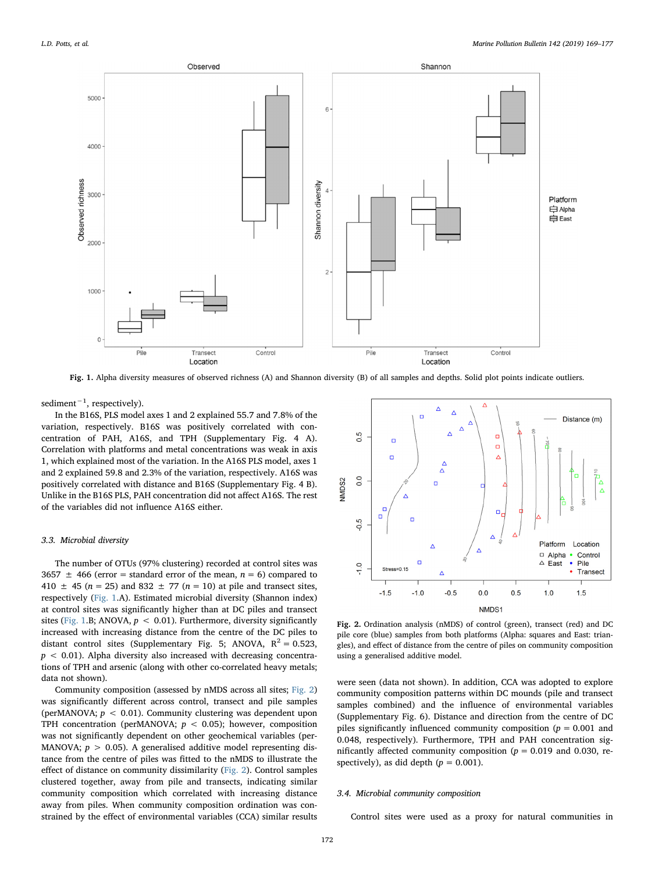<span id="page-3-0"></span>

Fig. 1. Alpha diversity measures of observed richness (A) and Shannon diversity (B) of all samples and depths. Solid plot points indicate outliers.

sediment<sup>-1</sup>, respectively).

In the B16S, PLS model axes 1 and 2 explained 55.7 and 7.8% of the variation, respectively. B16S was positively correlated with concentration of PAH, A16S, and TPH (Supplementary Fig. 4 A). Correlation with platforms and metal concentrations was weak in axis 1, which explained most of the variation. In the A16S PLS model, axes 1 and 2 explained 59.8 and 2.3% of the variation, respectively. A16S was positively correlated with distance and B16S (Supplementary Fig. 4 B). Unlike in the B16S PLS, PAH concentration did not affect A16S. The rest of the variables did not influence A16S either.

#### 3.3. Microbial diversity

The number of OTUs (97% clustering) recorded at control sites was 3657  $\pm$  466 (error = standard error of the mean,  $n = 6$ ) compared to 410  $\pm$  45 (n = 25) and 832  $\pm$  77 (n = 10) at pile and transect sites, respectively ([Fig. 1](#page-3-0).A). Estimated microbial diversity (Shannon index) at control sites was significantly higher than at DC piles and transect sites [\(Fig. 1](#page-3-0).B; ANOVA,  $p < 0.01$ ). Furthermore, diversity significantly increased with increasing distance from the centre of the DC piles to distant control sites (Supplementary Fig. 5; ANOVA,  $R^2 = 0.523$ ,  $p < 0.01$ ). Alpha diversity also increased with decreasing concentrations of TPH and arsenic (along with other co-correlated heavy metals; data not shown).

Community composition (assessed by nMDS across all sites; [Fig. 2\)](#page-3-1) was significantly different across control, transect and pile samples (perMANOVA;  $p < 0.01$ ). Community clustering was dependent upon TPH concentration (perMANOVA;  $p < 0.05$ ); however, composition was not significantly dependent on other geochemical variables (per-MANOVA;  $p > 0.05$ ). A generalised additive model representing distance from the centre of piles was fitted to the nMDS to illustrate the effect of distance on community dissimilarity ([Fig. 2](#page-3-1)). Control samples clustered together, away from pile and transects, indicating similar community composition which correlated with increasing distance away from piles. When community composition ordination was constrained by the effect of environmental variables (CCA) similar results

<span id="page-3-1"></span>

Fig. 2. Ordination analysis (nMDS) of control (green), transect (red) and DC pile core (blue) samples from both platforms (Alpha: squares and East: triangles), and effect of distance from the centre of piles on community composition using a generalised additive model.

were seen (data not shown). In addition, CCA was adopted to explore community composition patterns within DC mounds (pile and transect samples combined) and the influence of environmental variables (Supplementary Fig. 6). Distance and direction from the centre of DC piles significantly influenced community composition ( $p = 0.001$  and 0.048, respectively). Furthermore, TPH and PAH concentration significantly affected community composition ( $p = 0.019$  and 0.030, respectively), as did depth  $(p = 0.001)$ .

#### 3.4. Microbial community composition

Control sites were used as a proxy for natural communities in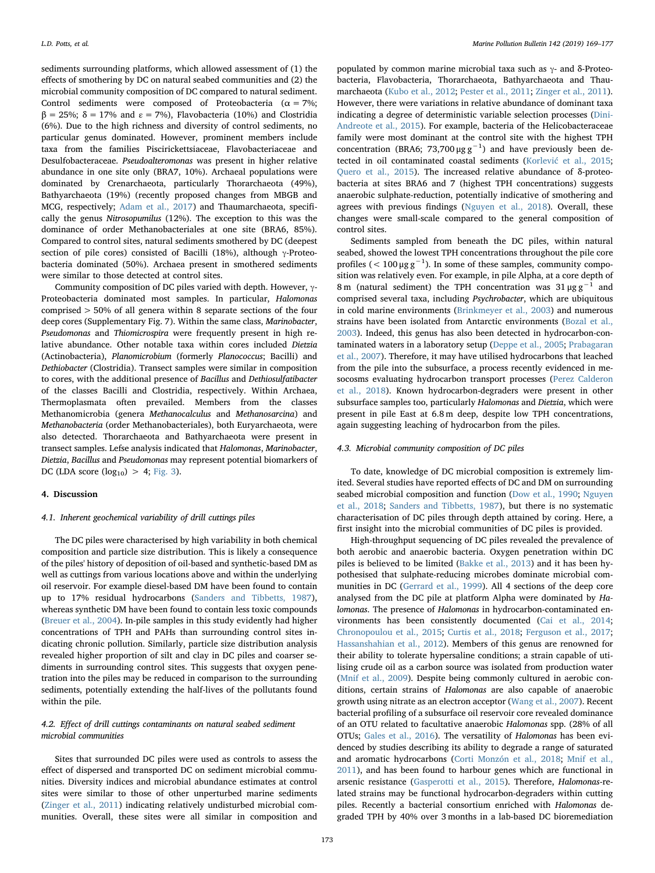sediments surrounding platforms, which allowed assessment of (1) the effects of smothering by DC on natural seabed communities and (2) the microbial community composition of DC compared to natural sediment. Control sediments were composed of Proteobacteria ( $\alpha = 7\%$ ;  $β = 25%$ ;  $δ = 17%$  and  $ε = 7%$ ), Flavobacteria (10%) and Clostridia (6%). Due to the high richness and diversity of control sediments, no particular genus dominated. However, prominent members include taxa from the families Piscirickettsiaceae, Flavobacteriaceae and Desulfobacteraceae. Pseudoalteromonas was present in higher relative abundance in one site only (BRA7, 10%). Archaeal populations were dominated by Crenarchaeota, particularly Thorarchaeota (49%), Bathyarchaeota (19%) (recently proposed changes from MBGB and MCG, respectively; [Adam et al., 2017](#page-6-9)) and Thaumarchaeota, specifically the genus Nitrosopumilus (12%). The exception to this was the dominance of order Methanobacteriales at one site (BRA6, 85%). Compared to control sites, natural sediments smothered by DC (deepest section of pile cores) consisted of Bacilli (18%), although γ-Proteobacteria dominated (50%). Archaea present in smothered sediments were similar to those detected at control sites.

Community composition of DC piles varied with depth. However, γ-Proteobacteria dominated most samples. In particular, Halomonas comprised > 50% of all genera within 8 separate sections of the four deep cores (Supplementary Fig. 7). Within the same class, Marinobacter, Pseudomonas and Thiomicrospira were frequently present in high relative abundance. Other notable taxa within cores included Dietzia (Actinobacteria), Planomicrobium (formerly Planococcus; Bacilli) and Dethiobacter (Clostridia). Transect samples were similar in composition to cores, with the additional presence of Bacillus and Dethiosulfatibacter of the classes Bacilli and Clostridia, respectively. Within Archaea, Thermoplasmata often prevailed. Members from the classes Methanomicrobia (genera Methanocalculus and Methanosarcina) and Methanobacteria (order Methanobacteriales), both Euryarchaeota, were also detected. Thorarchaeota and Bathyarchaeota were present in transect samples. Lefse analysis indicated that Halomonas, Marinobacter, Dietzia, Bacillus and Pseudomonas may represent potential biomarkers of DC (LDA score  $(log_{10}) > 4$ ; [Fig. 3](#page-5-0)).

## 4. Discussion

#### 4.1. Inherent geochemical variability of drill cuttings piles

The DC piles were characterised by high variability in both chemical composition and particle size distribution. This is likely a consequence of the piles' history of deposition of oil-based and synthetic-based DM as well as cuttings from various locations above and within the underlying oil reservoir. For example diesel-based DM have been found to contain up to 17% residual hydrocarbons [\(Sanders and Tibbetts, 1987](#page-7-10)), whereas synthetic DM have been found to contain less toxic compounds ([Breuer et al., 2004](#page-6-0)). In-pile samples in this study evidently had higher concentrations of TPH and PAHs than surrounding control sites indicating chronic pollution. Similarly, particle size distribution analysis revealed higher proportion of silt and clay in DC piles and coarser sediments in surrounding control sites. This suggests that oxygen penetration into the piles may be reduced in comparison to the surrounding sediments, potentially extending the half-lives of the pollutants found within the pile.

## 4.2. Effect of drill cuttings contaminants on natural seabed sediment microbial communities

Sites that surrounded DC piles were used as controls to assess the effect of dispersed and transported DC on sediment microbial communities. Diversity indices and microbial abundance estimates at control sites were similar to those of other unperturbed marine sediments ([Zinger et al., 2011](#page-8-2)) indicating relatively undisturbed microbial communities. Overall, these sites were all similar in composition and

populated by common marine microbial taxa such as  $γ$ - and δ-Proteobacteria, Flavobacteria, Thorarchaeota, Bathyarchaeota and Thaumarchaeota [\(Kubo et al., 2012](#page-7-24); [Pester et al., 2011;](#page-7-25) [Zinger et al., 2011](#page-8-2)). However, there were variations in relative abundance of dominant taxa indicating a degree of deterministic variable selection processes [\(Dini-](#page-7-26)[Andreote et al., 2015](#page-7-26)). For example, bacteria of the Helicobacteraceae family were most dominant at the control site with the highest TPH concentration (BRA6; 73,700 µg  $g^{-1}$ ) and have previously been detected in oil contaminated coastal sediments (Korlević [et al., 2015](#page-7-27); [Quero et al., 2015\)](#page-7-28). The increased relative abundance of δ-proteobacteria at sites BRA6 and 7 (highest TPH concentrations) suggests anaerobic sulphate-reduction, potentially indicative of smothering and agrees with previous findings ([Nguyen et al., 2018\)](#page-7-29). Overall, these changes were small-scale compared to the general composition of control sites.

Sediments sampled from beneath the DC piles, within natural seabed, showed the lowest TPH concentrations throughout the pile core profiles ( $< 100 \mu g g^{-1}$ ). In some of these samples, community composition was relatively even. For example, in pile Alpha, at a core depth of 8 m (natural sediment) the TPH concentration was  $31 \mu g g^{-1}$  and comprised several taxa, including Psychrobacter, which are ubiquitous in cold marine environments ([Brinkmeyer et al., 2003\)](#page-6-10) and numerous strains have been isolated from Antarctic environments [\(Bozal et al.,](#page-6-11) [2003\)](#page-6-11). Indeed, this genus has also been detected in hydrocarbon-contaminated waters in a laboratory setup [\(Deppe et al., 2005;](#page-7-30) [Prabagaran](#page-7-31) [et al., 2007](#page-7-31)). Therefore, it may have utilised hydrocarbons that leached from the pile into the subsurface, a process recently evidenced in mesocosms evaluating hydrocarbon transport processes [\(Perez Calderon](#page-7-32) [et al., 2018\)](#page-7-32). Known hydrocarbon-degraders were present in other subsurface samples too, particularly Halomonas and Dietzia, which were present in pile East at 6.8 m deep, despite low TPH concentrations, again suggesting leaching of hydrocarbon from the piles.

## 4.3. Microbial community composition of DC piles

To date, knowledge of DC microbial composition is extremely limited. Several studies have reported effects of DC and DM on surrounding seabed microbial composition and function [\(Dow et al., 1990;](#page-7-33) [Nguyen](#page-7-29) [et al., 2018;](#page-7-29) [Sanders and Tibbetts, 1987](#page-7-10)), but there is no systematic characterisation of DC piles through depth attained by coring. Here, a first insight into the microbial communities of DC piles is provided.

High-throughput sequencing of DC piles revealed the prevalence of both aerobic and anaerobic bacteria. Oxygen penetration within DC piles is believed to be limited ([Bakke et al., 2013\)](#page-6-12) and it has been hypothesised that sulphate-reducing microbes dominate microbial communities in DC ([Gerrard et al., 1999\)](#page-7-5). All 4 sections of the deep core analysed from the DC pile at platform Alpha were dominated by Halomonas. The presence of Halomonas in hydrocarbon-contaminated environments has been consistently documented [\(Cai et al., 2014](#page-6-13); [Chronopoulou et al., 2015;](#page-6-14) [Curtis et al., 2018](#page-7-34); [Ferguson et al., 2017](#page-7-35); [Hassanshahian et al., 2012](#page-7-36)). Members of this genus are renowned for their ability to tolerate hypersaline conditions; a strain capable of utilising crude oil as a carbon source was isolated from production water ([Mnif et al., 2009\)](#page-7-37). Despite being commonly cultured in aerobic conditions, certain strains of Halomonas are also capable of anaerobic growth using nitrate as an electron acceptor [\(Wang et al., 2007\)](#page-7-38). Recent bacterial profiling of a subsurface oil reservoir core revealed dominance of an OTU related to facultative anaerobic Halomonas spp. (28% of all OTUs; [Gales et al., 2016](#page-7-39)). The versatility of Halomonas has been evidenced by studies describing its ability to degrade a range of saturated and aromatic hydrocarbons [\(Corti Monzón et al., 2018](#page-6-15); [Mnif et al.,](#page-7-40) [2011\)](#page-7-40), and has been found to harbour genes which are functional in arsenic resistance [\(Gasperotti et al., 2015](#page-7-41)). Therefore, Halomonas-related strains may be functional hydrocarbon-degraders within cutting piles. Recently a bacterial consortium enriched with Halomonas degraded TPH by 40% over 3 months in a lab-based DC bioremediation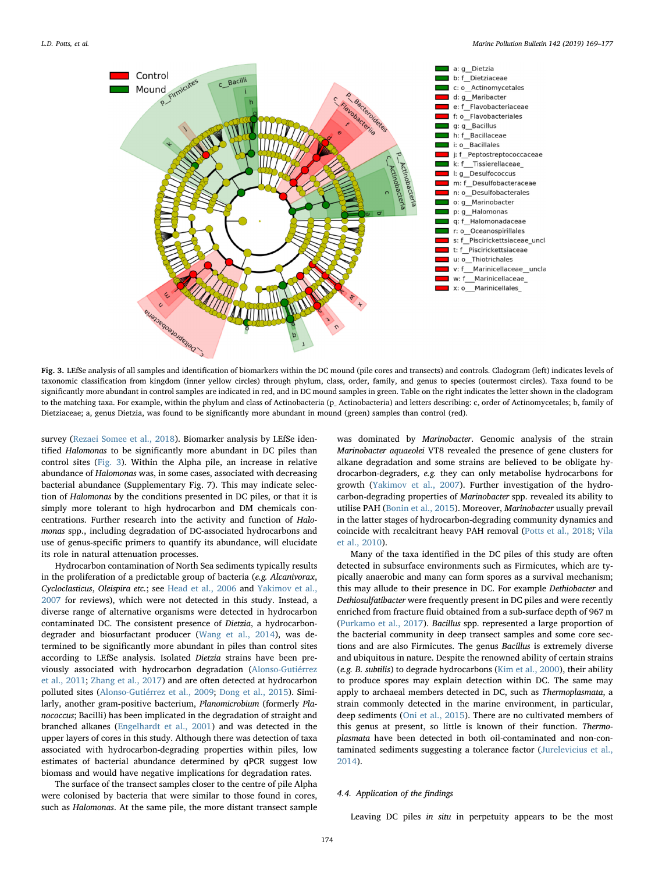<span id="page-5-0"></span>

Fig. 3. LEfSe analysis of all samples and identification of biomarkers within the DC mound (pile cores and transects) and controls. Cladogram (left) indicates levels of taxonomic classification from kingdom (inner yellow circles) through phylum, class, order, family, and genus to species (outermost circles). Taxa found to be significantly more abundant in control samples are indicated in red, and in DC mound samples in green. Table on the right indicates the letter shown in the cladogram to the matching taxa. For example, within the phylum and class of Actinobacteria (p\_ Actinobacteria) and letters describing: c, order of Actinomycetales; b, family of Dietziaceae; a, genus Dietzia, was found to be significantly more abundant in mound (green) samples than control (red).

survey ([Rezaei Somee et al., 2018](#page-7-42)). Biomarker analysis by LEfSe identified Halomonas to be significantly more abundant in DC piles than control sites ([Fig. 3](#page-5-0)). Within the Alpha pile, an increase in relative abundance of Halomonas was, in some cases, associated with decreasing bacterial abundance (Supplementary Fig. 7). This may indicate selection of Halomonas by the conditions presented in DC piles, or that it is simply more tolerant to high hydrocarbon and DM chemicals concentrations. Further research into the activity and function of Halomonas spp., including degradation of DC-associated hydrocarbons and use of genus-specific primers to quantify its abundance, will elucidate its role in natural attenuation processes.

Hydrocarbon contamination of North Sea sediments typically results in the proliferation of a predictable group of bacteria (e.g. Alcanivorax, Cycloclasticus, Oleispira etc.; see [Head et al., 2006](#page-7-43) and [Yakimov et al.,](#page-8-3) [2007](#page-8-3) for reviews), which were not detected in this study. Instead, a diverse range of alternative organisms were detected in hydrocarbon contaminated DC. The consistent presence of Dietzia, a hydrocarbondegrader and biosurfactant producer ([Wang et al., 2014](#page-7-44)), was determined to be significantly more abundant in piles than control sites according to LEfSe analysis. Isolated Dietzia strains have been previously associated with hydrocarbon degradation [\(Alonso-Gutiérrez](#page-6-16) [et al., 2011;](#page-6-16) [Zhang et al., 2017](#page-8-4)) and are often detected at hydrocarbon polluted sites ([Alonso-Gutiérrez et al., 2009;](#page-6-17) [Dong et al., 2015](#page-7-45)). Similarly, another gram-positive bacterium, Planomicrobium (formerly Planococcus; Bacilli) has been implicated in the degradation of straight and branched alkanes [\(Engelhardt et al., 2001](#page-7-46)) and was detected in the upper layers of cores in this study. Although there was detection of taxa associated with hydrocarbon-degrading properties within piles, low estimates of bacterial abundance determined by qPCR suggest low biomass and would have negative implications for degradation rates.

The surface of the transect samples closer to the centre of pile Alpha were colonised by bacteria that were similar to those found in cores, such as Halomonas. At the same pile, the more distant transect sample

was dominated by Marinobacter. Genomic analysis of the strain Marinobacter aquaeolei VT8 revealed the presence of gene clusters for alkane degradation and some strains are believed to be obligate hydrocarbon-degraders, e.g. they can only metabolise hydrocarbons for growth ([Yakimov et al., 2007](#page-8-3)). Further investigation of the hydrocarbon-degrading properties of Marinobacter spp. revealed its ability to utilise PAH [\(Bonin et al., 2015](#page-6-18)). Moreover, Marinobacter usually prevail in the latter stages of hydrocarbon-degrading community dynamics and coincide with recalcitrant heavy PAH removal [\(Potts et al., 2018;](#page-7-9) [Vila](#page-7-47) [et al., 2010](#page-7-47)).

Many of the taxa identified in the DC piles of this study are often detected in subsurface environments such as Firmicutes, which are typically anaerobic and many can form spores as a survival mechanism; this may allude to their presence in DC. For example Dethiobacter and Dethiosulfatibacter were frequently present in DC piles and were recently enriched from fracture fluid obtained from a sub-surface depth of 967 m ([Purkamo et al., 2017](#page-7-48)). Bacillus spp. represented a large proportion of the bacterial community in deep transect samples and some core sections and are also Firmicutes. The genus Bacillus is extremely diverse and ubiquitous in nature. Despite the renowned ability of certain strains (e.g. B. subtilis) to degrade hydrocarbons ([Kim et al., 2000\)](#page-7-49), their ability to produce spores may explain detection within DC. The same may apply to archaeal members detected in DC, such as Thermoplasmata, a strain commonly detected in the marine environment, in particular, deep sediments ([Oni et al., 2015\)](#page-7-50). There are no cultivated members of this genus at present, so little is known of their function. Thermoplasmata have been detected in both oil-contaminated and non-contaminated sediments suggesting a tolerance factor [\(Jurelevicius et al.,](#page-7-51) [2014\)](#page-7-51).

## 4.4. Application of the findings

Leaving DC piles in situ in perpetuity appears to be the most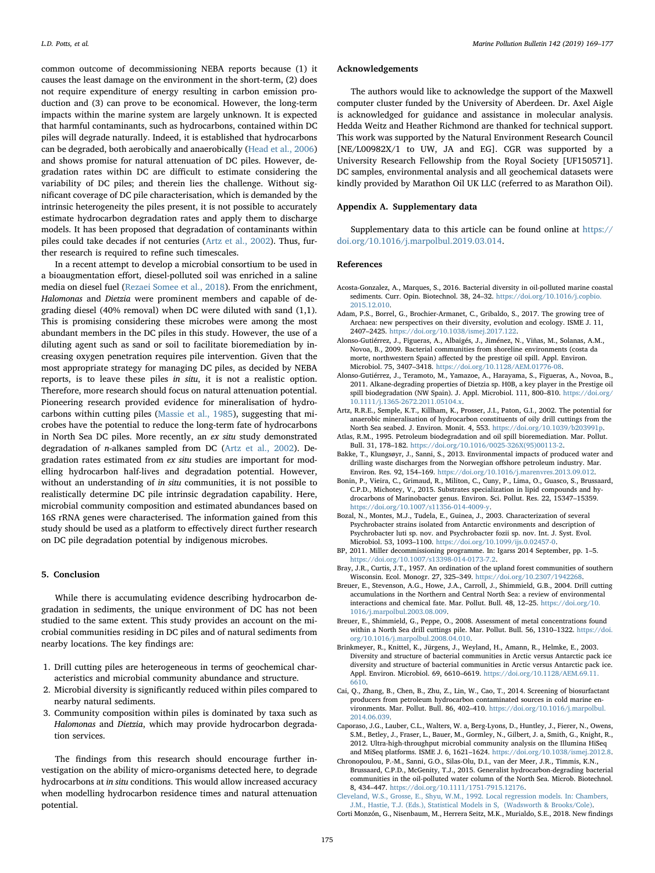common outcome of decommissioning NEBA reports because (1) it causes the least damage on the environment in the short-term, (2) does not require expenditure of energy resulting in carbon emission production and (3) can prove to be economical. However, the long-term impacts within the marine system are largely unknown. It is expected that harmful contaminants, such as hydrocarbons, contained within DC piles will degrade naturally. Indeed, it is established that hydrocarbons can be degraded, both aerobically and anaerobically ([Head et al., 2006\)](#page-7-43) and shows promise for natural attenuation of DC piles. However, degradation rates within DC are difficult to estimate considering the variability of DC piles; and therein lies the challenge. Without significant coverage of DC pile characterisation, which is demanded by the intrinsic heterogeneity the piles present, it is not possible to accurately estimate hydrocarbon degradation rates and apply them to discharge models. It has been proposed that degradation of contaminants within piles could take decades if not centuries [\(Artz et al., 2002\)](#page-6-5). Thus, further research is required to refine such timescales.

In a recent attempt to develop a microbial consortium to be used in a bioaugmentation effort, diesel-polluted soil was enriched in a saline media on diesel fuel ([Rezaei Somee et al., 2018\)](#page-7-42). From the enrichment, Halomonas and Dietzia were prominent members and capable of degrading diesel (40% removal) when DC were diluted with sand (1,1). This is promising considering these microbes were among the most abundant members in the DC piles in this study. However, the use of a diluting agent such as sand or soil to facilitate bioremediation by increasing oxygen penetration requires pile intervention. Given that the most appropriate strategy for managing DC piles, as decided by NEBA reports, is to leave these piles in situ, it is not a realistic option. Therefore, more research should focus on natural attenuation potential. Pioneering research provided evidence for mineralisation of hydrocarbons within cutting piles ([Massie et al., 1985\)](#page-7-7), suggesting that microbes have the potential to reduce the long-term fate of hydrocarbons in North Sea DC piles. More recently, an ex situ study demonstrated degradation of n-alkanes sampled from DC [\(Artz et al., 2002](#page-6-5)). Degradation rates estimated from ex situ studies are important for modelling hydrocarbon half-lives and degradation potential. However, without an understanding of in situ communities, it is not possible to realistically determine DC pile intrinsic degradation capability. Here, microbial community composition and estimated abundances based on 16S rRNA genes were characterised. The information gained from this study should be used as a platform to effectively direct further research on DC pile degradation potential by indigenous microbes.

## 5. Conclusion

While there is accumulating evidence describing hydrocarbon degradation in sediments, the unique environment of DC has not been studied to the same extent. This study provides an account on the microbial communities residing in DC piles and of natural sediments from nearby locations. The key findings are:

- 1. Drill cutting piles are heterogeneous in terms of geochemical characteristics and microbial community abundance and structure.
- 2. Microbial diversity is significantly reduced within piles compared to nearby natural sediments.
- 3. Community composition within piles is dominated by taxa such as Halomonas and Dietzia, which may provide hydrocarbon degradation services.

The findings from this research should encourage further investigation on the ability of micro-organisms detected here, to degrade hydrocarbons at in situ conditions. This would allow increased accuracy when modelling hydrocarbon residence times and natural attenuation potential.

#### Acknowledgements

The authors would like to acknowledge the support of the Maxwell computer cluster funded by the University of Aberdeen. Dr. Axel Aigle is acknowledged for guidance and assistance in molecular analysis. Hedda Weitz and Heather Richmond are thanked for technical support. This work was supported by the Natural Environment Research Council [NE/L00982X/1 to UW, JA and EG]. CGR was supported by a University Research Fellowship from the Royal Society [UF150571]. DC samples, environmental analysis and all geochemical datasets were kindly provided by Marathon Oil UK LLC (referred to as Marathon Oil).

## Appendix A. Supplementary data

Supplementary data to this article can be found online at [https://](https://doi.org/10.1016/j.marpolbul.2019.03.014) [doi.org/10.1016/j.marpolbul.2019.03.014.](https://doi.org/10.1016/j.marpolbul.2019.03.014)

## References

- <span id="page-6-4"></span>Acosta-Gonzalez, A., Marques, S., 2016. Bacterial diversity in oil-polluted marine coastal sediments. Curr. Opin. Biotechnol. 38, 24–32. [https://doi.org/10.1016/j.copbio.](https://doi.org/10.1016/j.copbio.2015.12.010) [2015.12.010](https://doi.org/10.1016/j.copbio.2015.12.010).
- <span id="page-6-9"></span>Adam, P.S., Borrel, G., Brochier-Armanet, C., Gribaldo, S., 2017. The growing tree of Archaea: new perspectives on their diversity, evolution and ecology. ISME J. 11, 2407–2425. [https://doi.org/10.1038/ismej.2017.122.](https://doi.org/10.1038/ismej.2017.122)
- <span id="page-6-17"></span>Alonso-Gutiérrez, J., Figueras, A., Albaigés, J., Jiménez, N., Viñas, M., Solanas, A.M., Novoa, B., 2009. Bacterial communities from shoreline environments (costa da morte, northwestern Spain) affected by the prestige oil spill. Appl. Environ. Microbiol. 75, 3407–3418. [https://doi.org/10.1128/AEM.01776-08.](https://doi.org/10.1128/AEM.01776-08)
- <span id="page-6-16"></span>Alonso-Gutiérrez, J., Teramoto, M., Yamazoe, A., Harayama, S., Figueras, A., Novoa, B., 2011. Alkane-degrading properties of Dietzia sp. H0B, a key player in the Prestige oil spill biodegradation (NW Spain). J. Appl. Microbiol. 111, 800–810. [https://doi.org/](https://doi.org/10.1111/j.1365-2672.2011.05104.x) [10.1111/j.1365-2672.2011.05104.x](https://doi.org/10.1111/j.1365-2672.2011.05104.x).
- <span id="page-6-5"></span>Artz, R.R.E., Semple, K.T., Killham, K., Prosser, J.I., Paton, G.I., 2002. The potential for anaerobic mineralisation of hydrocarbon constituents of oily drill cuttings from the North Sea seabed. J. Environ. Monit. 4, 553. <https://doi.org/10.1039/b203991p>.
- <span id="page-6-3"></span>Atlas, R.M., 1995. Petroleum biodegradation and oil spill bioremediation. Mar. Pollut. Bull. 31, 178–182. [https://doi.org/10.1016/0025-326X\(95\)00113-2.](https://doi.org/10.1016/0025-326X(95)00113-2)
- <span id="page-6-12"></span>Bakke, T., Klungsøyr, J., Sanni, S., 2013. Environmental impacts of produced water and drilling waste discharges from the Norwegian offshore petroleum industry. Mar. Environ. Res. 92, 154–169. [https://doi.org/10.1016/j.marenvres.2013.09.012.](https://doi.org/10.1016/j.marenvres.2013.09.012)
- <span id="page-6-18"></span>Bonin, P., Vieira, C., Grimaud, R., Militon, C., Cuny, P., Lima, O., Guasco, S., Brussaard, C.P.D., Michotey, V., 2015. Substrates specialization in lipid compounds and hydrocarbons of Marinobacter genus. Environ. Sci. Pollut. Res. 22, 15347–15359. <https://doi.org/10.1007/s11356-014-4009-y>.
- <span id="page-6-11"></span>Bozal, N., Montes, M.J., Tudela, E., Guinea, J., 2003. Characterization of several Psychrobacter strains isolated from Antarctic environments and description of Psychrobacter luti sp. nov. and Psychrobacter fozii sp. nov. Int. J. Syst. Evol. Microbiol. 53, 1093–1100. [https://doi.org/10.1099/ijs.0.02457-0.](https://doi.org/10.1099/ijs.0.02457-0)
- <span id="page-6-2"></span>BP, 2011. Miller decommissioning programme. In: Igarss 2014 September, pp. 1–5. <https://doi.org/10.1007/s13398-014-0173-7.2>.
- <span id="page-6-8"></span>Bray, J.R., Curtis, J.T., 1957. An ordination of the upland forest communities of southern Wisconsin. Ecol. Monogr. 27, 325–349. [https://doi.org/10.2307/1942268.](https://doi.org/10.2307/1942268)
- <span id="page-6-0"></span>Breuer, E., Stevenson, A.G., Howe, J.A., Carroll, J., Shimmield, G.B., 2004. Drill cutting accumulations in the Northern and Central North Sea: a review of environmental interactions and chemical fate. Mar. Pollut. Bull. 48, 12–25. [https://doi.org/10.](https://doi.org/10.1016/j.marpolbul.2003.08.009) [1016/j.marpolbul.2003.08.009](https://doi.org/10.1016/j.marpolbul.2003.08.009).
- <span id="page-6-1"></span>Breuer, E., Shimmield, G., Peppe, O., 2008. Assessment of metal concentrations found within a North Sea drill cuttings pile. Mar. Pollut. Bull. 56, 1310–1322. [https://doi.](https://doi.org/10.1016/j.marpolbul.2008.04.010) [org/10.1016/j.marpolbul.2008.04.010.](https://doi.org/10.1016/j.marpolbul.2008.04.010)
- <span id="page-6-10"></span>Brinkmeyer, R., Knittel, K., Jürgens, J., Weyland, H., Amann, R., Helmke, E., 2003. Diversity and structure of bacterial communities in Arctic versus Antarctic pack ice diversity and structure of bacterial communities in Arctic versus Antarctic pack ice. Appl. Environ. Microbiol. 69, 6610–6619. [https://doi.org/10.1128/AEM.69.11.](https://doi.org/10.1128/AEM.69.11.6610) [6610.](https://doi.org/10.1128/AEM.69.11.6610)
- <span id="page-6-13"></span>Cai, Q., Zhang, B., Chen, B., Zhu, Z., Lin, W., Cao, T., 2014. Screening of biosurfactant producers from petroleum hydrocarbon contaminated sources in cold marine environments. Mar. Pollut. Bull. 86, 402–410. [https://doi.org/10.1016/j.marpolbul.](https://doi.org/10.1016/j.marpolbul.2014.06.039) [2014.06.039](https://doi.org/10.1016/j.marpolbul.2014.06.039).
- <span id="page-6-6"></span>Caporaso, J.G., Lauber, C.L., Walters, W. a, Berg-Lyons, D., Huntley, J., Fierer, N., Owens, S.M., Betley, J., Fraser, L., Bauer, M., Gormley, N., Gilbert, J. a, Smith, G., Knight, R., 2012. Ultra-high-throughput microbial community analysis on the Illumina HiSeq and MiSeq platforms. ISME J. 6, 1621–1624. [https://doi.org/10.1038/ismej.2012.8.](https://doi.org/10.1038/ismej.2012.8)
- <span id="page-6-14"></span>Chronopoulou, P.-M., Sanni, G.O., Silas-Olu, D.I., van der Meer, J.R., Timmis, K.N., Brussaard, C.P.D., McGenity, T.J., 2015. Generalist hydrocarbon-degrading bacterial communities in the oil-polluted water column of the North Sea. Microb. Biotechnol. 8, 434–447. [https://doi.org/10.1111/1751-7915.12176.](https://doi.org/10.1111/1751-7915.12176)

<span id="page-6-7"></span>[Cleveland, W.S., Grosse, E., Shyu, W.M., 1992. Local regression models. In: Chambers,](http://refhub.elsevier.com/S0025-326X(19)30195-X/rf0090) [J.M., Hastie, T.J. \(Eds.\), Statistical Models in S, \(Wadsworth & Brooks/Cole\).](http://refhub.elsevier.com/S0025-326X(19)30195-X/rf0090)

<span id="page-6-15"></span>Corti Monzón, G., Nisenbaum, M., Herrera Seitz, M.K., Murialdo, S.E., 2018. New findings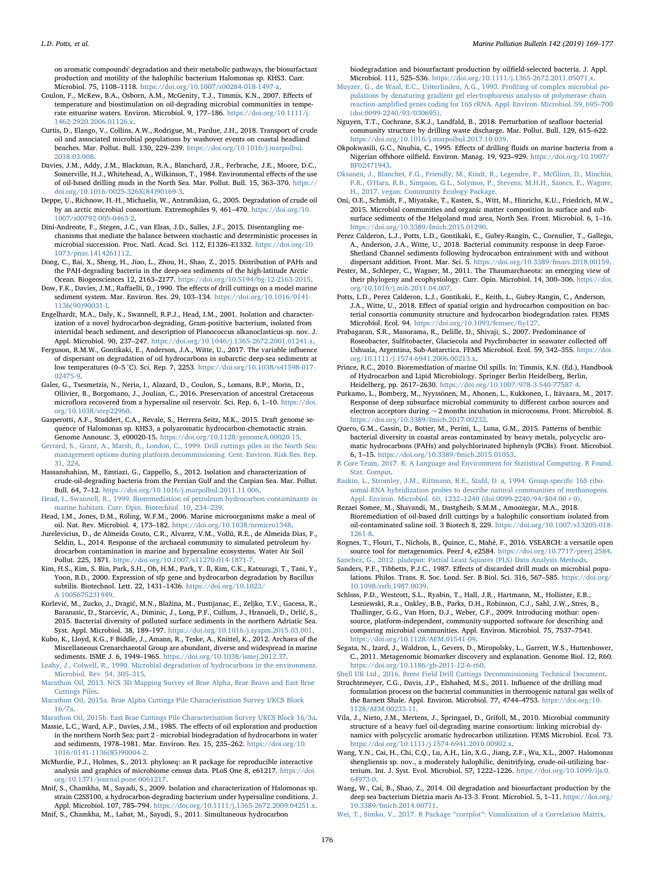on aromatic compounds' degradation and their metabolic pathways, the biosurfactant production and motility of the halophilic bacterium Halomonas sp. KHS3. Curr. Microbiol. 75, 1108–1118. <https://doi.org/10.1007/s00284-018-1497-x>.

- <span id="page-7-8"></span>Coulon, F., McKew, B.A., Osborn, A.M., McGenity, T.J., Timmis, K.N., 2007. Effects of temperature and biostimulation on oil-degrading microbial communities in temperate estuarine waters. Environ. Microbiol. 9, 177–186. [https://doi.org/10.1111/j.](https://doi.org/10.1111/j.1462-2920.2006.01126.x) [1462-2920.2006.01126.x](https://doi.org/10.1111/j.1462-2920.2006.01126.x).
- <span id="page-7-34"></span>Curtis, D., Elango, V., Collins, A.W., Rodrigue, M., Pardue, J.H., 2018. Transport of crude oil and associated microbial populations by washover events on coastal headland beaches. Mar. Pollut. Bull. 130, 229–239. [https://doi.org/10.1016/j.marpolbul.](https://doi.org/10.1016/j.marpolbul.2018.03.008) [2018.03.008](https://doi.org/10.1016/j.marpolbul.2018.03.008).
- <span id="page-7-0"></span>Davies, J.M., Addy, J.M., Blackman, R.A., Blanchard, J.R., Ferbrache, J.E., Moore, D.C., Somerville, H.J., Whitehead, A., Wilkinson, T., 1984. Environmental effects of the use of oil-based drilling muds in the North Sea. Mar. Pollut. Bull. 15, 363–370. [https://](https://doi.org/10.1016/0025-326X(84)90169-3) [doi.org/10.1016/0025-326X\(84\)90169-3.](https://doi.org/10.1016/0025-326X(84)90169-3)
- <span id="page-7-30"></span>Deppe, U., Richnow, H.-H., Michaelis, W., Antranikian, G., 2005. Degradation of crude oil by an arctic microbial consortium. Extremophiles 9, 461–470. [https://doi.org/10.](https://doi.org/10.1007/s00792-005-0463-2) [1007/s00792-005-0463-2](https://doi.org/10.1007/s00792-005-0463-2).
- <span id="page-7-26"></span>Dini-Andreote, F., Stegen, J.C., van Elsas, J.D., Salles, J.F., 2015. Disentangling mechanisms that mediate the balance between stochastic and deterministic processes in microbial succession. Proc. Natl. Acad. Sci. 112, E1326–E1332. [https://doi.org/10.](https://doi.org/10.1073/pnas.1414261112) [1073/pnas.1414261112.](https://doi.org/10.1073/pnas.1414261112)
- <span id="page-7-45"></span>Dong, C., Bai, X., Sheng, H., Jiao, L., Zhou, H., Shao, Z., 2015. Distribution of PAHs and the PAH-degrading bacteria in the deep-sea sediments of the high-latitude Arctic Ocean. Biogeosciences 12, 2163–2177. [https://doi.org/10.5194/bg-12-2163-2015.](https://doi.org/10.5194/bg-12-2163-2015)
- <span id="page-7-33"></span>Dow, F.K., Davies, J.M., Raffaelli, D., 1990. The effects of drill cuttings on a model marine sediment system. Mar. Environ. Res. 29, 103–134. [https://doi.org/10.1016/0141-](https://doi.org/10.1016/0141-1136(90)90031-I) [1136\(90\)90031-I.](https://doi.org/10.1016/0141-1136(90)90031-I)
- <span id="page-7-46"></span>Engelhardt, M.A., Daly, K., Swannell, R.P.J., Head, I.M., 2001. Isolation and characterization of a novel hydrocarbon-degrading, Gram-positive bacterium, isolated from intertidal beach sediment, and description of Planococcus alkanoclasticus sp. nov. J. Appl. Microbiol. 90, 237-247. [https://doi.org/10.1046/j.1365-2672.2001.01241.x.](https://doi.org/10.1046/j.1365-2672.2001.01241.x)
- <span id="page-7-35"></span>Ferguson, R.M.W., Gontikaki, E., Anderson, J.A., Witte, U., 2017. The variable influence of dispersant on degradation of oil hydrocarbons in subarctic deep-sea sediments at low temperatures (0–5 °C). Sci. Rep. 7, 2253. [https://doi.org/10.1038/s41598-017-](https://doi.org/10.1038/s41598-017-02475-9) [02475-9](https://doi.org/10.1038/s41598-017-02475-9).
- <span id="page-7-39"></span>Gales, G., Tsesmetzis, N., Neria, I., Alazard, D., Coulon, S., Lomans, B.P., Morin, D., Ollivier, B., Borgomano, J., Joulian, C., 2016. Preservation of ancestral Cretaceous microflora recovered from a hypersaline oil reservoir. Sci. Rep. 6, 1–10. [https://doi.](https://doi.org/10.1038/srep22960) [org/10.1038/srep22960](https://doi.org/10.1038/srep22960).
- <span id="page-7-41"></span>Gasperotti, A.F., Studdert, C.A., Revale, S., Herrera Seitz, M.K., 2015. Draft genome sequence of Halomonas sp. KHS3, a polyaromatic hydrocarbon-chemotactic strain. Genome Announc. 3, e00020-15. [https://doi.org/10.1128/genomeA.00020-15.](https://doi.org/10.1128/genomeA.00020-15)
- <span id="page-7-5"></span>[Gerrard, S., Grant, A., Marsh, R., London, C., 1999. Drill cuttings piles in the North Sea:](http://refhub.elsevier.com/S0025-326X(19)30195-X/rf0155) [management options during platform decommissioning. Cent. Environ. Risk Res. Rep.](http://refhub.elsevier.com/S0025-326X(19)30195-X/rf0155) [31, 224](http://refhub.elsevier.com/S0025-326X(19)30195-X/rf0155).
- <span id="page-7-36"></span>Hassanshahian, M., Emtiazi, G., Cappello, S., 2012. Isolation and characterization of crude-oil-degrading bacteria from the Persian Gulf and the Caspian Sea. Mar. Pollut. Bull. 64, 7–12. [https://doi.org/10.1016/j.marpolbul.2011.11.006.](https://doi.org/10.1016/j.marpolbul.2011.11.006)
- <span id="page-7-2"></span>[Head, I., Swannell, R., 1999. Bioremediation of petroleum hydrocarbon contaminants in](http://refhub.elsevier.com/S0025-326X(19)30195-X/rf0165) [marine habitats. Curr. Opin. Biotechnol. 10, 234](http://refhub.elsevier.com/S0025-326X(19)30195-X/rf0165)–239.
- <span id="page-7-43"></span>Head, I.M., Jones, D.M., Röling, W.F.M., 2006. Marine microorganisms make a meal of oil. Nat. Rev. Microbiol. 4, 173–182. <https://doi.org/10.1038/nrmicro1348>.
- <span id="page-7-51"></span>Jurelevicius, D., de Almeida Couto, C.R., Alvarez, V.M., Vollú, R.E., de Almeida Dias, F., Seldin, L., 2014. Response of the archaeal community to simulated petroleum hydrocarbon contamination in marine and hypersaline ecosystems. Water Air Soil Pollut. 225, 1871. <https://doi.org/10.1007/s11270-014-1871-7>.
- <span id="page-7-49"></span>Kim, H.S., Kim, S. Bin, Park, S.H., Oh, H.M., Park, Y. Il, Kim, C.K., Katsuragi, T., Tani, Y., Yoon, B.D., 2000. Expression of sfp gene and hydrocarbon degradation by Bacillus subtilis. Biotechnol. Lett. 22, 1431–1436. [https://doi.org/10.1023/](https://doi.org/10.1023/A:1005675231949) [A:1005675231949](https://doi.org/10.1023/A:1005675231949).
- <span id="page-7-27"></span>Korlević, M., Zucko, J., Dragić, M.N., Blažina, M., Pustijanac, E., Zeljko, T.V., Gacesa, R., Baranasic, D., Starcevic, A., Diminic, J., Long, P.F., Cullum, J., Hranueli, D., Orlić, S., 2015. Bacterial diversity of polluted surface sediments in the northern Adriatic Sea. Syst. Appl. Microbiol. 38, 189–197. <https://doi.org/10.1016/j.syapm.2015.03.001>.
- <span id="page-7-24"></span>Kubo, K., Lloyd, K.G., F Biddle, J., Amann, R., Teske, A., Knittel, K., 2012. Archaea of the Miscellaneous Crenarchaeotal Group are abundant, diverse and widespread in marine sediments. ISME J. 6, 1949–1965. <https://doi.org/10.1038/ismej.2012.37>.
- <span id="page-7-3"></span>[Leahy, J., Colwell, R., 1990. Microbial degradation of hydrocarbons in the environment.](http://refhub.elsevier.com/S0025-326X(19)30195-X/rf0195) [Microbiol. Rev. 54, 305](http://refhub.elsevier.com/S0025-326X(19)30195-X/rf0195)–315.
- <span id="page-7-12"></span>[Marathon Oil, 2013. NCS 3D Mapping Survey of Brae Alpha, Brae Bravo and East Brae](http://refhub.elsevier.com/S0025-326X(19)30195-X/rf0200) [Cuttings Piles](http://refhub.elsevier.com/S0025-326X(19)30195-X/rf0200).
- <span id="page-7-13"></span>[Marathon Oil, 2015a. Brae Alpha Cuttings Pile Characterisation Survey UKCS Block](http://refhub.elsevier.com/S0025-326X(19)30195-X/rf0205) [16/7a.](http://refhub.elsevier.com/S0025-326X(19)30195-X/rf0205)
- [Marathon Oil, 2015b. East Brae Cuttings Pile Characterisation Survey UKCS Block 16/3a.](http://refhub.elsevier.com/S0025-326X(19)30195-X/rf0210)
- <span id="page-7-7"></span>Massie, L.C., Ward, A.P., Davies, J.M., 1985. The effects of oil exploration and production in the northern North Sea: part 2 - microbial biodegradation of hydrocarbons in water and sediments, 1978–1981. Mar. Environ. Res. 15, 235–262. [https://doi.org/10.](https://doi.org/10.1016/0141-1136(85)90004-2) [1016/0141-1136\(85\)90004-2](https://doi.org/10.1016/0141-1136(85)90004-2).
- <span id="page-7-21"></span>McMurdie, P.J., Holmes, S., 2013. phyloseq: an R package for reproducible interactive analysis and graphics of microbiome census data. PLoS One 8, e61217. [https://doi.](https://doi.org/10.1371/journal.pone.0061217) [org/10.1371/journal.pone.0061217](https://doi.org/10.1371/journal.pone.0061217).
- <span id="page-7-37"></span>Mnif, S., Chamkha, M., Sayadi, S., 2009. Isolation and characterization of Halomonas sp. strain C2SS100, a hydrocarbon-degrading bacterium under hypersaline conditions. J. Appl. Microbiol. 107, 785–794. [https://doi.org/10.1111/j.1365-2672.2009.04251.x.](https://doi.org/10.1111/j.1365-2672.2009.04251.x)
- <span id="page-7-40"></span>Mnif, S., Chamkha, M., Labat, M., Sayadi, S., 2011. Simultaneous hydrocarbon

biodegradation and biosurfactant production by oilfield-selected bacteria. J. Appl. Microbiol. 111, 525–536. <https://doi.org/10.1111/j.1365-2672.2011.05071.x>.

- <span id="page-7-14"></span>[Muyzer, G., de Waal, E.C., Uitterlinden, A.G., 1993. Pro](http://refhub.elsevier.com/S0025-326X(19)30195-X/rf0235)filing of complex microbial po[pulations by denaturing gradient gel electrophoresis analysis of polymerase chain](http://refhub.elsevier.com/S0025-326X(19)30195-X/rf0235) reaction-amplifi[ed genes coding for 16S rRNA. Appl. Environ. Microbiol. 59, 695](http://refhub.elsevier.com/S0025-326X(19)30195-X/rf0235)–700 [\(doi:0099-2240/93/030695\).](http://refhub.elsevier.com/S0025-326X(19)30195-X/rf0235)
- <span id="page-7-29"></span>Nguyen, T.T., Cochrane, S.K.J., Landfald, B., 2018. Perturbation of seafloor bacterial community structure by drilling waste discharge. Mar. Pollut. Bull. 129, 615–622. [https://doi.org/10.1016/j.marpolbul.2017.10.039.](https://doi.org/10.1016/j.marpolbul.2017.10.039)
- <span id="page-7-11"></span>Okpokwasili, G.C., Nnubia, C., 1995. Effects of drilling fluids on marine bacteria from a Nigerian offshore oilfield. Environ. Manag. 19, 923–929. [https://doi.org/10.1007/](https://doi.org/10.1007/BF02471943) [BF02471943.](https://doi.org/10.1007/BF02471943)
- <span id="page-7-22"></span>[Oksanen, J., Blanchet, F.G., Friendly, M., Kindt, R., Legendre, P., McGlinn, D., Minchin,](http://refhub.elsevier.com/S0025-326X(19)30195-X/rf0250) [P.R., O'Hara, R.B., Simpson, G.L., Solymos, P., Stevens, M.H.H., Szoecs, E., Wagner,](http://refhub.elsevier.com/S0025-326X(19)30195-X/rf0250) [H., 2017. vegan: Community Ecology Package](http://refhub.elsevier.com/S0025-326X(19)30195-X/rf0250).
- <span id="page-7-50"></span>Oni, O.E., Schmidt, F., Miyatake, T., Kasten, S., Witt, M., Hinrichs, K.U., Friedrich, M.W., 2015. Microbial communities and organic matter composition in surface and subsurface sediments of the Helgoland mud area, North Sea. Front. Microbiol. 6, 1–16. <https://doi.org/10.3389/fmicb.2015.01290>.
- <span id="page-7-32"></span>Perez Calderon, L.J., Potts, L.D., Gontikaki, E., Gubry-Rangin, C., Cornulier, T., Gallego, A., Anderson, J.A., Witte, U., 2018. Bacterial community response in deep Faroe-Shetland Channel sediments following hydrocarbon entrainment with and without dispersant addition. Front. Mar. Sci. 5. <https://doi.org/10.3389/fmars.2018.00159>.
- <span id="page-7-25"></span>Pester, M., Schleper, C., Wagner, M., 2011. The Thaumarchaeota: an emerging view of their phylogeny and ecophysiology. Curr. Opin. Microbiol. 14, 300–306. [https://doi.](https://doi.org/10.1016/j.mib.2011.04.007) [org/10.1016/j.mib.2011.04.007.](https://doi.org/10.1016/j.mib.2011.04.007)
- <span id="page-7-9"></span>Potts, L.D., Perez Calderon, L.J., Gontikaki, E., Keith, L., Gubry-Rangin, C., Anderson, J.A., Witte, U., 2018. Effect of spatial origin and hydrocarbon composition on bacterial consortia community structure and hydrocarbon biodegradation rates. FEMS Microbiol. Ecol. 94. [https://doi.org/10.1093/femsec/](https://doi.org/10.1093/femsec/fiy127)fiy127.
- <span id="page-7-31"></span>Prabagaran, S.R., Manorama, R., Delille, D., Shivaji, S., 2007. Predominance of Roseobacter, Sulfitobacter, Glaciecola and Psychrobacter in seawater collected off Ushuaia, Argentina, Sub-Antarctica. FEMS Microbiol. Ecol. 59, 342–355. [https://doi.](https://doi.org/10.1111/j.1574-6941.2006.00213.x) [org/10.1111/j.1574-6941.2006.00213.x.](https://doi.org/10.1111/j.1574-6941.2006.00213.x)
- <span id="page-7-4"></span>Prince, R.C., 2010. Bioremediation of marine Oil spills. In: Timmis, K.N. (Ed.), Handbook of Hydrocarbon and Lipid Microbiology. Springer Berlin Heidelberg, Berlin, Heidelberg, pp. 2617–2630. [https://doi.org/10.1007/978-3-540-77587-4.](https://doi.org/10.1007/978-3-540-77587-4)
- <span id="page-7-48"></span>Purkamo, L., Bomberg, M., Nyyssönen, M., Ahonen, L., Kukkonen, I., Itävaara, M., 2017. Response of deep subsurface microbial community to different carbon sources and electron acceptors during ∼2 months incubation in microcosms. Front. Microbiol. 8. <https://doi.org/10.3389/fmicb.2017.00232>.
- <span id="page-7-28"></span>Quero, G.M., Cassin, D., Botter, M., Perini, L., Luna, G.M., 2015. Patterns of benthic bacterial diversity in coastal areas contaminated by heavy metals, polycyclic aromatic hydrocarbons (PAHs) and polychlorinated biphenyls (PCBs). Front. Microbiol. 6, 1–15. [https://doi.org/10.3389/fmicb.2015.01053.](https://doi.org/10.3389/fmicb.2015.01053)
- <span id="page-7-18"></span>[R Core Team, 2017. R: A Language and Environment for Statistical Computing. R Found.](http://refhub.elsevier.com/S0025-326X(19)30195-X/rf0295) Stat. [Comput.](http://refhub.elsevier.com/S0025-326X(19)30195-X/rf0295)
- <span id="page-7-15"></span>[Raskin, L., Stromley, J.M., Rittmann, B.E., Stahl, D. a, 1994. Group-speci](http://refhub.elsevier.com/S0025-326X(19)30195-X/rf0300)fic 16S ribo[somal-RNA hybridization probes to describe natural communities of methanogens.](http://refhub.elsevier.com/S0025-326X(19)30195-X/rf0300) Appl. Environ. Microbiol. 60, 1232–[1240 \(doi:0099-2240/94/\\$04.00+0\).](http://refhub.elsevier.com/S0025-326X(19)30195-X/rf0300)

<span id="page-7-42"></span>Rezaei Somee, M., Shavandi, M., Dastgheib, S.M.M., Amoozegar, M.A., 2018. Bioremediation of oil-based drill cuttings by a halophilic consortium isolated from oil-contaminated saline soil. 3 Biotech 8, 229. [https://doi.org/10.1007/s13205-018-](https://doi.org/10.1007/s13205-018-1261-8) [1261-8.](https://doi.org/10.1007/s13205-018-1261-8)

- <span id="page-7-17"></span>Rognes, T., Flouri, T., Nichols, B., Quince, C., Mahé, F., 2016. VSEARCH: a versatile open source tool for metagenomics. PeerJ 4, e2584. <https://doi.org/10.7717/peerj.2584>.
- <span id="page-7-20"></span><span id="page-7-10"></span>[Sanchez, G., 2012. plsdepot: Partial Least Squares \(PLS\) Data Analysis Methods](http://refhub.elsevier.com/S0025-326X(19)30195-X/rf0315). Sanders, P.F., Tibbetts, P.J.C., 1987. Effects of discarded drill muds on microbial populations. Philos. Trans. R. Soc. Lond. Ser. B Biol. Sci. 316, 567–585. [https://doi.org/](https://doi.org/10.1098/rstb.1987.0039) [10.1098/rstb.1987.0039](https://doi.org/10.1098/rstb.1987.0039).
- <span id="page-7-16"></span>Schloss, P.D., Westcott, S.L., Ryabin, T., Hall, J.R., Hartmann, M., Hollister, E.B., Lesniewski, R.a., Oakley, B.B., Parks, D.H., Robinson, C.J., Sahl, J.W., Stres, B., Thallinger, G.G., Van Horn, D.J., Weber, C.F., 2009. Introducing mothur: opensource, platform-independent, community-supported software for describing and comparing microbial communities. Appl. Environ. Microbiol. 75, 7537–7541. [https://doi.org/10.1128/AEM.01541-09.](https://doi.org/10.1128/AEM.01541-09)
- <span id="page-7-23"></span>Segata, N., Izard, J., Waldron, L., Gevers, D., Miropolsky, L., Garrett, W.S., Huttenhower, C., 2011. Metagenomic biomarker discovery and explanation. Genome Biol. 12, R60. <https://doi.org/10.1186/gb-2011-12-6-r60>.

<span id="page-7-1"></span>[Shell UK Ltd., 2016. Brent Field Drill Cuttings Decommissioning Technical Document](http://refhub.elsevier.com/S0025-326X(19)30195-X/rf0335).

- <span id="page-7-6"></span>Struchtemeyer, C.G., Davis, J.P., Elshahed, M.S., 2011. Influence of the drilling mud formulation process on the bacterial communities in thermogenic natural gas wells of the Barnett Shale. Appl. Environ. Microbiol. 77, 4744–4753. [https://doi.org/10.](https://doi.org/10.1128/AEM.00233-11) [1128/AEM.00233-11.](https://doi.org/10.1128/AEM.00233-11)
- <span id="page-7-47"></span>Vila, J., Nieto, J.M., Mertens, J., Springael, D., Grifoll, M., 2010. Microbial community structure of a heavy fuel oil-degrading marine consortium: linking microbial dynamics with polycyclic aromatic hydrocarbon utilization. FEMS Microbiol. Ecol. 73. [https://doi.org/10.1111/j.1574-6941.2010.00902.x.](https://doi.org/10.1111/j.1574-6941.2010.00902.x)
- <span id="page-7-38"></span>Wang, Y.N., Cai, H., Chi, C.Q., Lu, A.H., Lin, X.G., Jiang, Z.F., Wu, X.L., 2007. Halomonas shengliensis sp. nov., a moderately halophilic, denitrifying, crude-oil-utilizing bacterium. Int. J. Syst. Evol. Microbiol. 57, 1222–1226. [https://doi.org/10.1099/ijs.0.](https://doi.org/10.1099/ijs.0.64973-0) [64973-0](https://doi.org/10.1099/ijs.0.64973-0).
- <span id="page-7-44"></span>Wang, W., Cai, B., Shao, Z., 2014. Oil degradation and biosurfactant production by the deep sea bacterium Dietzia maris As-13-3. Front. Microbiol. 5, 1–11. [https://doi.org/](https://doi.org/10.3389/fmicb.2014.00711) [10.3389/fmicb.2014.00711.](https://doi.org/10.3389/fmicb.2014.00711)
- <span id="page-7-19"></span>Wei, T., Simko, V., 2017. R Package "corrplot"[: Visualization of a Correlation Matrix.](http://refhub.elsevier.com/S0025-326X(19)30195-X/rf0360)